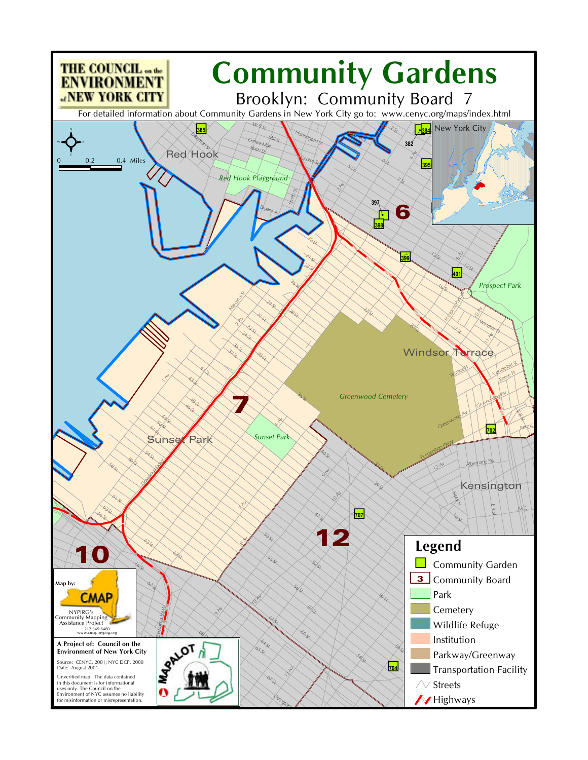